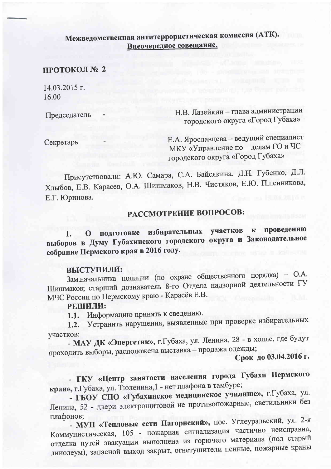## Межведомственная антитеррористическая комиссия (АТК). Внеочередное совещание.

## ПРОТОКОЛ № 2

14.03.2015 г. 16.00

Председатель

Н.В. Лазейкин - глава администрации городского округа «Город Губаха»

Секретарь

Е.А. Ярославцева - ведущий специалист МКУ «Управление по делам ГО и ЧС городского округа «Город Губаха»

Присутствовали: А.Ю. Самара, С.А. Байсякина, Д.Н. Губенко, Д.Л. Хлыбов, Е.В. Карасев, О.А. Шишмаков, Н.В. Чистяков, Е.Ю. Пшенникова, Е.Г. Юринова.

## РАССМОТРЕНИЕ ВОПРОСОВ:

подготовке избирательных участков проведению  $\mathbf{K}$ 1.  $\mathbf{O}$ выборов в Думу Губахинского городского округа и Законодательное собрание Пермского края в 2016 году.

### ВЫСТУПИЛИ:

Зам.начальника полиции (по охране общественного порядка) - О.А. Шишмаков; старший дознаватель 8-го Отдела надзорной деятельности ГУ МЧС России по Пермскому краю - Карасёв Е.В.

## РЕШИЛИ:

1.1. Информацию принять к сведению.

1.2. Устранить нарушения, выявленные при проверке избирательных участков:

- МАУ ДК «Энергетик», г. Губаха, ул. Ленина, 28 - в холле, где будут проходить выборы, расположена выставка - продажа одежды;

Срок до 03.04.2016 г.

- ГКУ «Центр занятости населения города Губахи Пермского края», г.Губаха, ул. Тюленина, 1 - нет плафона в тамбуре;

- ГБОУ СПО «Губахинское медицинское училище», г.Губаха, ул. Ленина, 52 - двери электрощитовой не противопожарные, светильники без плафонов:

- МУП «Тепловые сети Нагорнский», пос. Углеуральский, ул. 2-я Коммунистическая, 105 - пожарная сигнализация частично неисправна, отделка путей эвакуации выполнена из горючего материала (пол старый линолеум), запасной выход закрыт, огнетушители пенные, пожарные краны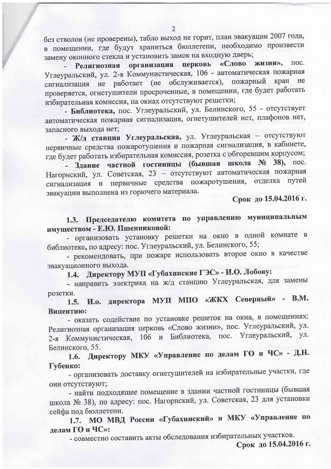без стволов (не проверены), табло выход не горит, план эвакуации 2007 года, в помещении, где будут храниться бюллетени, необходимо произвести замену оконного стекла и установить замок на входную дверь;

«Слово жизни», Религиозная организация церковь пос. Углеуральский, ул. 2-я Коммунистическая, 106 - автоматическая пожарная сигнализация не работает (не обслуживается), пожарный кран He проверяется, огнетушители просроченные, в помещении, где будет работать избирательная комиссия, на окнах отсутствуют решетки;

- Библиотека, пос. Углеуральский, ул. Белинского, 55 - отсутствует автоматическая пожарная сигнализация, огнетушителей нет, плафонов нет, запасного выхода нет:

- Ж/д станция Углеуральская, ул. Углеуральская - отсутствуют первичные средства пожаротушения и пожарная сигнализация, в кабинете, где будет работать избирательная комиссия, розетка с обгоревшим корпусом;

Здание частной гостиницы (бывшая школа № 38), пос. Нагорнский, ул. Советская, 23 - отсутствуют автоматическая пожарная сигнализация и первичные средства пожаротушения, отделка путей эвакуации выполнена из горючего материала.

Срок до 15.04.2016 г.

# 1.3. Председателю комитета по управлению муниципальным имуществом - Е.Ю. Пшенниковой:

- организовать установку решетки на окно в одной комнате в библиотеке, по адресу: пос. Углеуральский, ул. Белинского, 55;

- рекомендовать, при пожаре использовать второе окно в качестве эвакуационного выхода.

Директору МУП «Губахинские ГЭС» - И.О. Лобову:  $1.4.$ 

- направить электрика на ж/д станцию Углеуральская, для замены розетки.

1.5. И.о. директора МУП МПО «ЖКХ Северный» - В.М. Вицентию:

- оказать содействие по установке решеток на окна, в помещениях: Религиозная организация церковь «Слово жизни», пос. Углеуральский, ул. 2-я Коммунистическая, 106 и Библиотека, пос. Углеуральский, ул. Белинского, 55.

Директору МКУ «Управление по делам ГО и ЧС» - Д.Н.  $1.6.$ Губенко:

- организовать доставку огнетушителей на избирательные участки, где они отсутствуют;

- найти подходящее помещение в здании частной гостиницы (бывшая школа № 38), по адресу: пос. Нагорнский, ул. Советская, 23 для установки сейфа под бюллетени.

1.7. МО МВД России «Губахинский» и МКУ «Управление по делам ГО и ЧС»:

- совместно составить акты обследования избирательных участков.

Срок до 15.04.2016 г.